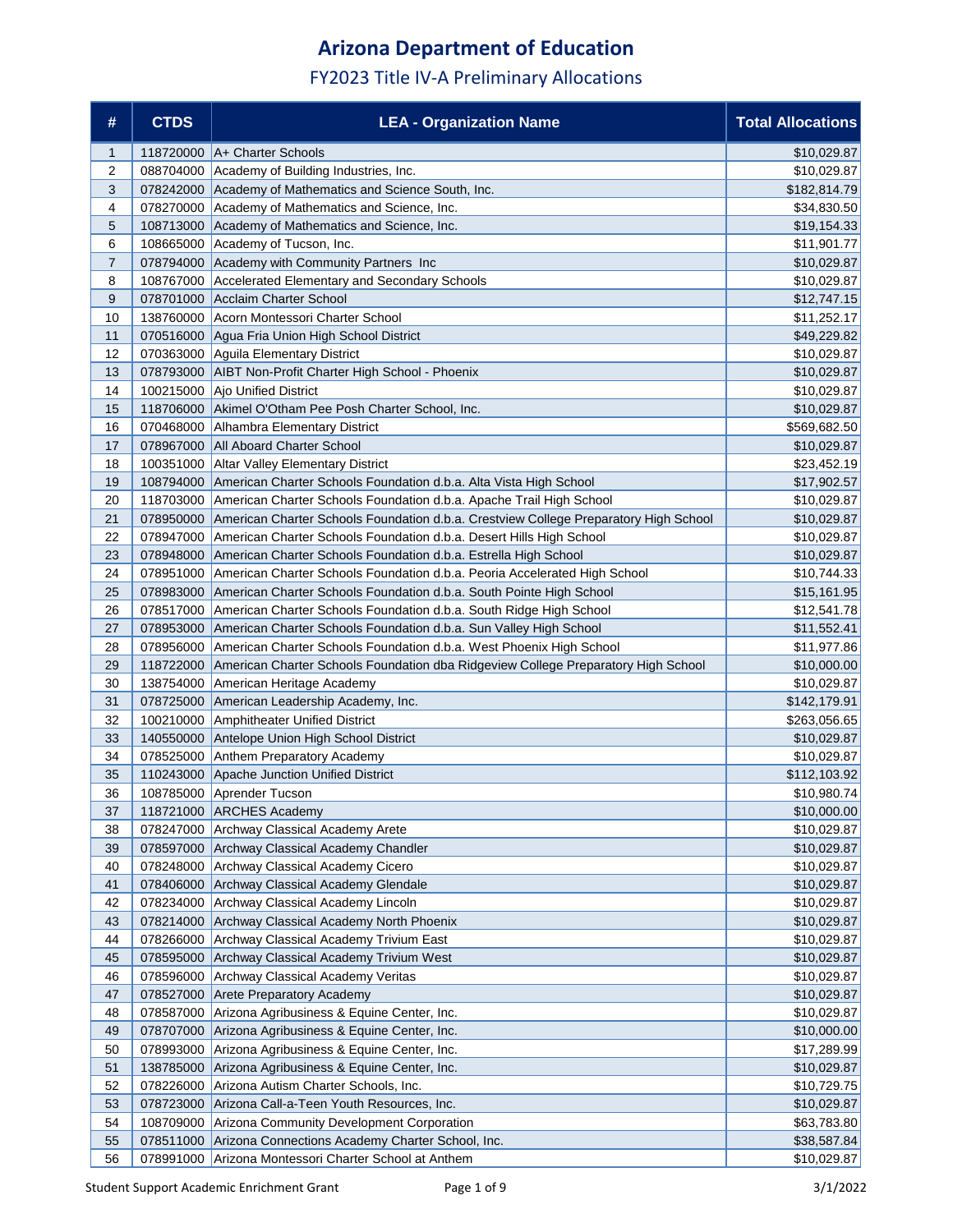| #              | <b>CTDS</b> | <b>LEA - Organization Name</b>                                                       | <b>Total Allocations</b>   |
|----------------|-------------|--------------------------------------------------------------------------------------|----------------------------|
| $\mathbf{1}$   | 118720000   | A+ Charter Schools                                                                   | \$10,029.87                |
| 2              | 088704000   | Academy of Building Industries, Inc.                                                 | \$10,029.87                |
| 3              | 078242000   | Academy of Mathematics and Science South, Inc.                                       | \$182,814.79               |
| 4              | 078270000   | Academy of Mathematics and Science, Inc.                                             | \$34,830.50                |
| 5              | 108713000   | Academy of Mathematics and Science, Inc.                                             | \$19,154.33                |
| 6              | 108665000   | Academy of Tucson, Inc.                                                              | \$11,901.77                |
| $\overline{7}$ | 078794000   | Academy with Community Partners Inc                                                  | \$10,029.87                |
| 8              | 108767000   | Accelerated Elementary and Secondary Schools                                         | \$10,029.87                |
| 9              | 078701000   | Acclaim Charter School                                                               | \$12,747.15                |
| 10             | 138760000   | Acorn Montessori Charter School                                                      | \$11,252.17                |
| 11             | 070516000   | Agua Fria Union High School District                                                 | \$49,229.82                |
| 12             | 070363000   | Aguila Elementary District                                                           | \$10,029.87                |
| 13             | 078793000   | AIBT Non-Profit Charter High School - Phoenix                                        | \$10,029.87                |
| 14             | 100215000   | Ajo Unified District                                                                 | \$10,029.87                |
| 15             | 118706000   | Akimel O'Otham Pee Posh Charter School, Inc.                                         | \$10,029.87                |
| 16             | 070468000   | Alhambra Elementary District                                                         | \$569,682.50               |
| 17             | 078967000   | <b>All Aboard Charter School</b>                                                     | \$10,029.87                |
| 18             | 100351000   | <b>Altar Valley Elementary District</b>                                              | \$23,452.19                |
| 19             | 108794000   | American Charter Schools Foundation d.b.a. Alta Vista High School                    | \$17,902.57                |
| 20             | 118703000   | American Charter Schools Foundation d.b.a. Apache Trail High School                  | \$10,029.87                |
| 21             | 078950000   | American Charter Schools Foundation d.b.a. Crestview College Preparatory High School | \$10,029.87                |
| 22             | 078947000   | American Charter Schools Foundation d.b.a. Desert Hills High School                  | \$10,029.87                |
| 23             | 078948000   | American Charter Schools Foundation d.b.a. Estrella High School                      | \$10,029.87                |
| 24             | 078951000   | American Charter Schools Foundation d.b.a. Peoria Accelerated High School            | \$10,744.33                |
| 25             | 078983000   | American Charter Schools Foundation d.b.a. South Pointe High School                  | \$15,161.95                |
| 26             | 078517000   | American Charter Schools Foundation d.b.a. South Ridge High School                   | \$12,541.78                |
| 27             | 078953000   | American Charter Schools Foundation d.b.a. Sun Valley High School                    | \$11,552.41                |
| 28             | 078956000   | American Charter Schools Foundation d.b.a. West Phoenix High School                  | \$11,977.86                |
| 29             | 118722000   | American Charter Schools Foundation dba Ridgeview College Preparatory High School    | \$10,000.00                |
| 30             | 138754000   | American Heritage Academy                                                            | \$10,029.87                |
| 31             | 078725000   | American Leadership Academy, Inc.                                                    | \$142,179.91               |
| 32             | 100210000   | Amphitheater Unified District                                                        | \$263,056.65               |
| 33             | 140550000   | Antelope Union High School District                                                  | \$10,029.87                |
| 34             | 078525000   | Anthem Preparatory Academy<br>Apache Junction Unified District                       | \$10,029.87                |
| 35             | 110243000   |                                                                                      | \$112,103.92               |
| 36             |             | 108785000 Aprender Tucson<br>118721000 ARCHES Academy                                | \$10,980.74                |
| 37<br>38       | 078247000   |                                                                                      | \$10,000.00<br>\$10,029.87 |
| 39             |             | Archway Classical Academy Arete<br>078597000 Archway Classical Academy Chandler      | \$10,029.87                |
| 40             |             | 078248000 Archway Classical Academy Cicero                                           | \$10,029.87                |
| 41             |             | 078406000 Archway Classical Academy Glendale                                         | \$10,029.87                |
| 42             | 078234000   | Archway Classical Academy Lincoln                                                    | \$10,029.87                |
| 43             | 078214000   | Archway Classical Academy North Phoenix                                              | \$10,029.87                |
| 44             | 078266000   | Archway Classical Academy Trivium East                                               | \$10,029.87                |
| 45             | 078595000   | Archway Classical Academy Trivium West                                               | \$10,029.87                |
| 46             |             | 078596000 Archway Classical Academy Veritas                                          | \$10,029.87                |
| 47             |             | 078527000 Arete Preparatory Academy                                                  | \$10,029.87                |
| 48             |             | 078587000 Arizona Agribusiness & Equine Center, Inc.                                 | \$10,029.87                |
| 49             | 078707000   | Arizona Agribusiness & Equine Center, Inc.                                           | \$10,000.00                |
| 50             | 078993000   | Arizona Agribusiness & Equine Center, Inc.                                           | \$17,289.99                |
| 51             | 138785000   | Arizona Agribusiness & Equine Center, Inc.                                           | \$10,029.87                |
| 52             | 078226000   | Arizona Autism Charter Schools, Inc.                                                 | \$10,729.75                |
| 53             | 078723000   | Arizona Call-a-Teen Youth Resources, Inc.                                            | \$10,029.87                |
| 54             | 108709000   | Arizona Community Development Corporation                                            | \$63,783.80                |
| 55             | 078511000   | Arizona Connections Academy Charter School, Inc.                                     | \$38,587.84                |
| 56             |             | 078991000 Arizona Montessori Charter School at Anthem                                | \$10,029.87                |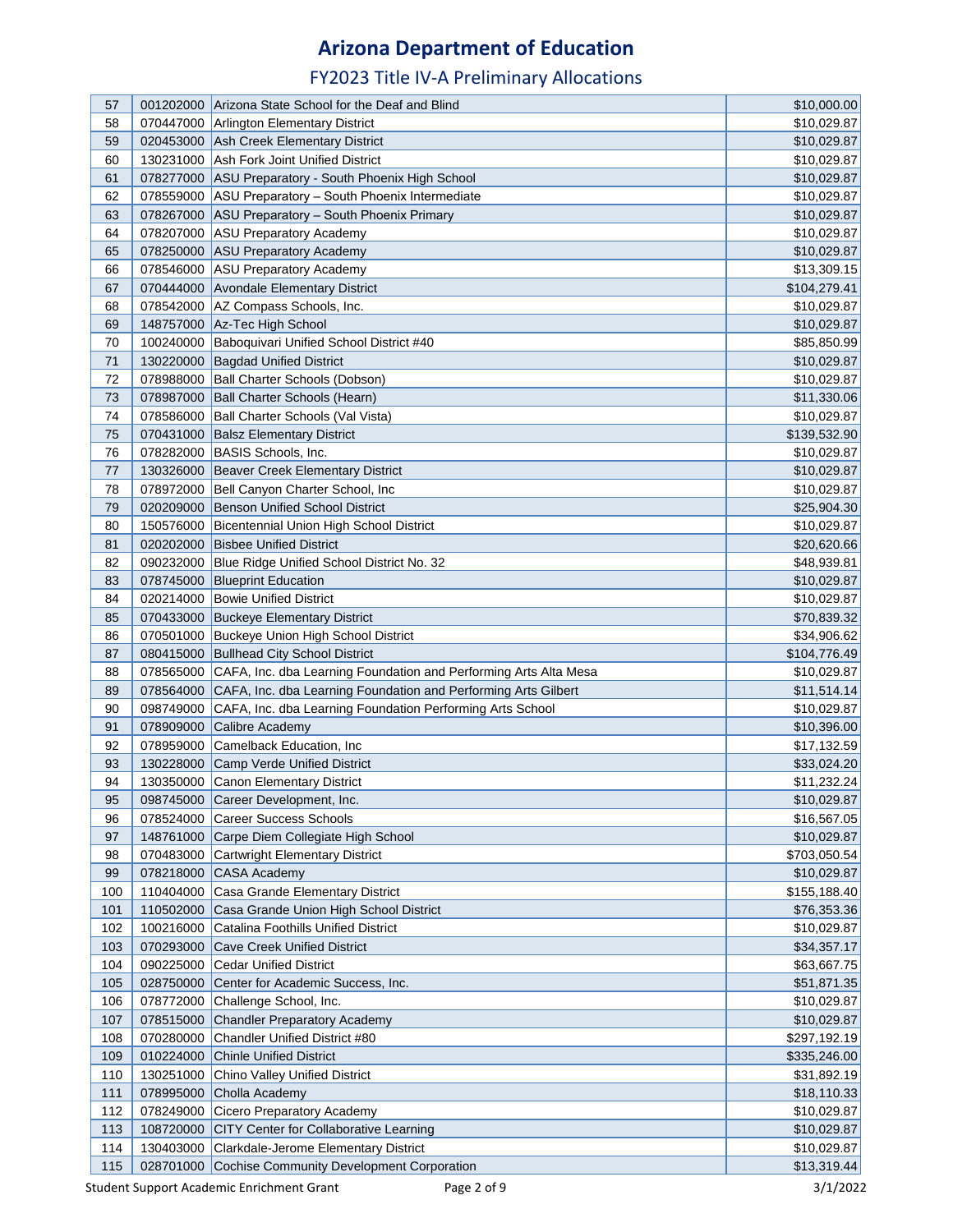| 57  |           | 001202000 Arizona State School for the Deaf and Blind                      | \$10,000.00  |
|-----|-----------|----------------------------------------------------------------------------|--------------|
| 58  |           | 070447000 Arlington Elementary District                                    | \$10,029.87  |
| 59  |           | 020453000 Ash Creek Elementary District                                    | \$10,029.87  |
| 60  |           | 130231000 Ash Fork Joint Unified District                                  | \$10,029.87  |
| 61  |           | 078277000 ASU Preparatory - South Phoenix High School                      | \$10,029.87  |
| 62  |           | 078559000 ASU Preparatory - South Phoenix Intermediate                     | \$10,029.87  |
| 63  |           | 078267000 ASU Preparatory - South Phoenix Primary                          | \$10,029.87  |
| 64  |           | 078207000 ASU Preparatory Academy                                          | \$10,029.87  |
| 65  |           | 078250000 ASU Preparatory Academy                                          | \$10,029.87  |
| 66  |           | 078546000 ASU Preparatory Academy                                          | \$13,309.15  |
| 67  |           | 070444000 Avondale Elementary District                                     | \$104,279.41 |
| 68  |           | 078542000   AZ Compass Schools, Inc.                                       | \$10,029.87  |
| 69  |           | 148757000 Az-Tec High School                                               | \$10,029.87  |
| 70  |           | 100240000   Baboquivari Unified School District #40                        | \$85,850.99  |
| 71  |           | 130220000 Bagdad Unified District                                          | \$10,029.87  |
| 72  |           | 078988000 Ball Charter Schools (Dobson)                                    | \$10,029.87  |
| 73  |           | 078987000 Ball Charter Schools (Hearn)                                     | \$11,330.06  |
| 74  |           | 078586000 Ball Charter Schools (Val Vista)                                 | \$10,029.87  |
| 75  |           | 070431000 Balsz Elementary District                                        | \$139,532.90 |
| 76  |           | 078282000 BASIS Schools, Inc.                                              | \$10,029.87  |
| 77  |           | 130326000 Beaver Creek Elementary District                                 | \$10,029.87  |
| 78  |           | 078972000 Bell Canyon Charter School, Inc.                                 | \$10,029.87  |
| 79  |           | 020209000 Benson Unified School District                                   |              |
| 80  |           |                                                                            | \$25,904.30  |
|     |           | 150576000 Bicentennial Union High School District                          | \$10,029.87  |
| 81  |           | 020202000 Bisbee Unified District                                          | \$20,620.66  |
| 82  |           | 090232000 Blue Ridge Unified School District No. 32                        | \$48,939.81  |
| 83  |           | 078745000 Blueprint Education                                              | \$10,029.87  |
| 84  |           | 020214000 Bowie Unified District                                           | \$10,029.87  |
| 85  |           | 070433000 Buckeye Elementary District                                      | \$70,839.32  |
| 86  |           | 070501000 Buckeye Union High School District                               | \$34,906.62  |
| 87  |           | 080415000 Bullhead City School District                                    | \$104,776.49 |
| 88  |           | 078565000 CAFA, Inc. dba Learning Foundation and Performing Arts Alta Mesa | \$10,029.87  |
| 89  |           | 078564000 CAFA, Inc. dba Learning Foundation and Performing Arts Gilbert   | \$11,514.14  |
| 90  |           | 098749000 CAFA, Inc. dba Learning Foundation Performing Arts School        | \$10,029.87  |
| 91  |           | 078909000 Calibre Academy                                                  | \$10,396.00  |
| 92  |           | 078959000 Camelback Education, Inc                                         | \$17,132.59  |
| 93  |           | 130228000 Camp Verde Unified District                                      | \$33,024.20  |
| 94  |           | 130350000 Canon Elementary District                                        | \$11,232.24  |
| 95  |           | 098745000 Career Development, Inc.                                         | \$10,029.87  |
| 96  |           | 078524000 Career Success Schools                                           | \$16,567.05  |
| 97  |           | 148761000 Carpe Diem Collegiate High School                                | \$10,029.87  |
| 98  |           | 070483000 Cartwright Elementary District                                   | \$703,050.54 |
| 99  |           | 078218000 CASA Academy                                                     | \$10,029.87  |
| 100 |           | 110404000 Casa Grande Elementary District                                  | \$155,188.40 |
| 101 |           | 110502000 Casa Grande Union High School District                           | \$76,353.36  |
| 102 |           | 100216000 Catalina Foothills Unified District                              | \$10,029.87  |
| 103 |           | 070293000 Cave Creek Unified District                                      | \$34,357.17  |
| 104 |           | 090225000 Cedar Unified District                                           | \$63,667.75  |
| 105 |           | 028750000 Center for Academic Success, Inc.                                | \$51,871.35  |
| 106 |           | 078772000 Challenge School, Inc.                                           | \$10,029.87  |
| 107 |           | 078515000 Chandler Preparatory Academy                                     | \$10,029.87  |
| 108 | 070280000 | <b>Chandler Unified District #80</b>                                       | \$297,192.19 |
| 109 |           | 010224000 Chinle Unified District                                          | \$335,246.00 |
| 110 | 130251000 | <b>Chino Valley Unified District</b>                                       | \$31,892.19  |
| 111 |           | 078995000 Cholla Academy                                                   | \$18,110.33  |
| 112 |           | 078249000 Cicero Preparatory Academy                                       | \$10,029.87  |
| 113 |           | 108720000 CITY Center for Collaborative Learning                           | \$10,029.87  |
| 114 |           | 130403000 Clarkdale-Jerome Elementary District                             | \$10,029.87  |
| 115 |           | 028701000 Cochise Community Development Corporation                        | \$13,319.44  |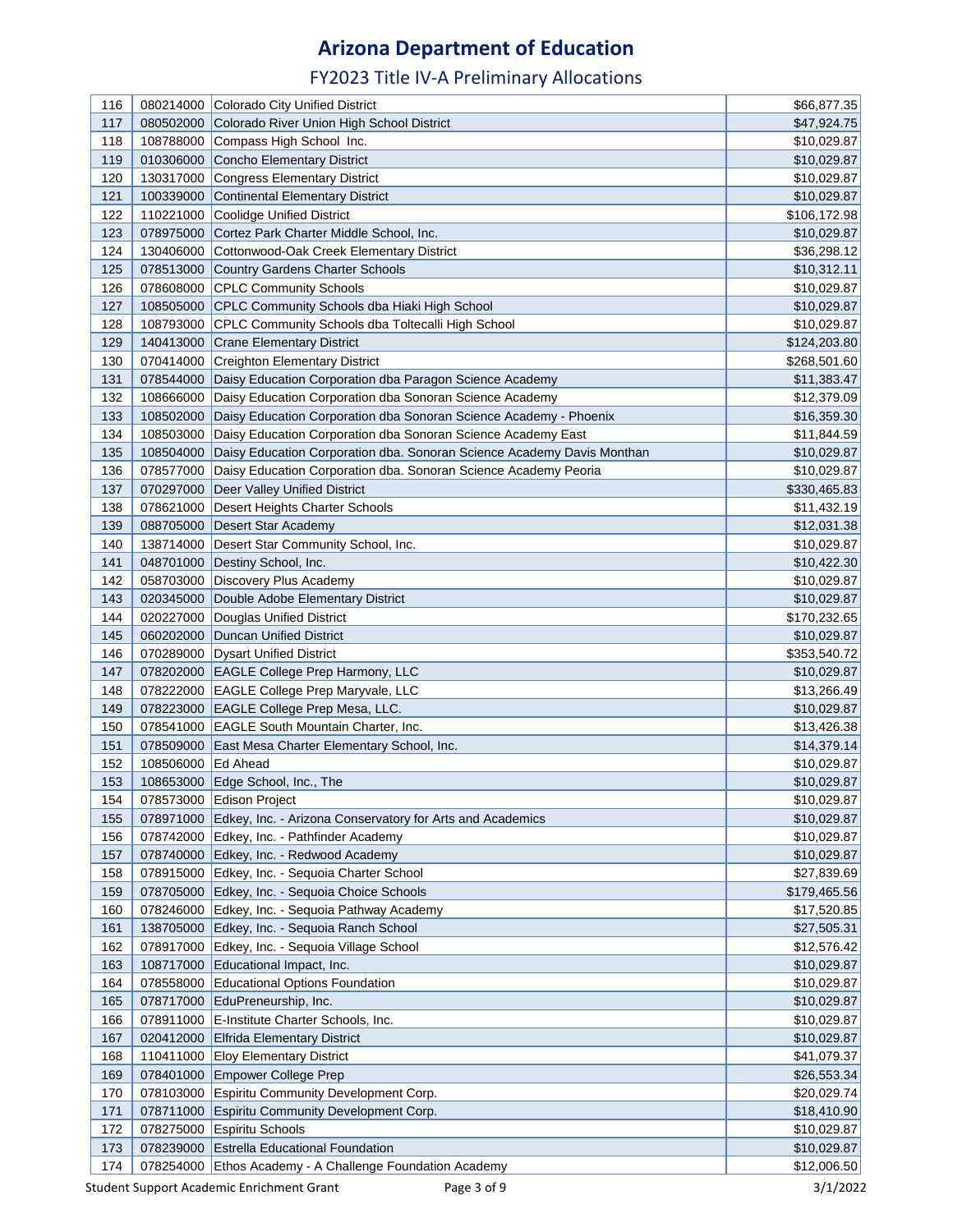| 116        |                    | 080214000 Colorado City Unified District                                                | \$66,877.35                |
|------------|--------------------|-----------------------------------------------------------------------------------------|----------------------------|
| 117        |                    | 080502000 Colorado River Union High School District                                     | \$47,924.75                |
| 118        |                    | 108788000 Compass High School Inc.                                                      | \$10,029.87                |
| 119        |                    | 010306000 Concho Elementary District                                                    | \$10,029.87                |
| 120        |                    | 130317000 Congress Elementary District                                                  | \$10,029.87                |
| 121        | 100339000          | Continental Elementary District                                                         | \$10,029.87                |
| 122        | 110221000          | Coolidge Unified District                                                               | \$106,172.98               |
| 123        | 078975000          | Cortez Park Charter Middle School, Inc.                                                 | \$10,029.87                |
| 124        |                    | 130406000 Cottonwood-Oak Creek Elementary District                                      | \$36,298.12                |
| 125        |                    | 078513000 Country Gardens Charter Schools                                               | \$10,312.11                |
| 126        |                    | 078608000 CPLC Community Schools                                                        | \$10,029.87                |
| 127        |                    | 108505000 CPLC Community Schools dba Hiaki High School                                  | \$10,029.87                |
| 128        |                    | 108793000 CPLC Community Schools dba Toltecalli High School                             | \$10,029.87                |
| 129        |                    | 140413000 Crane Elementary District                                                     | \$124,203.80               |
| 130        |                    | 070414000 Creighton Elementary District                                                 | \$268,501.60               |
| 131        |                    | 078544000 Daisy Education Corporation dba Paragon Science Academy                       | \$11,383.47                |
| 132        |                    | 108666000 Daisy Education Corporation dba Sonoran Science Academy                       | \$12,379.09                |
| 133        | 108502000          | Daisy Education Corporation dba Sonoran Science Academy - Phoenix                       | \$16,359.30                |
| 134        |                    | 108503000 Daisy Education Corporation dba Sonoran Science Academy East                  | \$11,844.59                |
| 135        |                    | 108504000 Daisy Education Corporation dba. Sonoran Science Academy Davis Monthan        |                            |
| 136        |                    | 078577000 Daisy Education Corporation dba. Sonoran Science Academy Peoria               | \$10,029.87<br>\$10,029.87 |
|            |                    |                                                                                         |                            |
| 137<br>138 |                    | 070297000 Deer Valley Unified District                                                  | \$330,465.83               |
|            |                    | 078621000 Desert Heights Charter Schools                                                | \$11,432.19                |
| 139        |                    | 088705000 Desert Star Academy                                                           | \$12,031.38                |
| 140        |                    | 138714000 Desert Star Community School, Inc.                                            | \$10,029.87                |
| 141        |                    | 048701000 Destiny School, Inc.                                                          | \$10,422.30                |
| 142        |                    | 058703000 Discovery Plus Academy                                                        | \$10,029.87                |
| 143        |                    | 020345000 Double Adobe Elementary District                                              | \$10,029.87                |
| 144        | 020227000          | Douglas Unified District                                                                | \$170,232.65               |
| 145        | 060202000          | Duncan Unified District                                                                 | \$10,029.87                |
| 146        |                    | 070289000 Dysart Unified District                                                       | \$353,540.72               |
| 147        |                    | 078202000 EAGLE College Prep Harmony, LLC                                               | \$10,029.87                |
| 148<br>149 |                    | 078222000 EAGLE College Prep Maryvale, LLC                                              | \$13,266.49<br>\$10,029.87 |
| 150        |                    | 078223000 EAGLE College Prep Mesa, LLC.<br>078541000 EAGLE South Mountain Charter, Inc. |                            |
|            |                    |                                                                                         | \$13,426.38                |
| 151<br>152 | 108506000 Ed Ahead | 078509000 East Mesa Charter Elementary School, Inc.                                     | \$14,379.14                |
| 153        |                    |                                                                                         | \$10,029.87<br>\$10,029.87 |
|            |                    | 108653000 Edge School, Inc., The                                                        |                            |
| 154        |                    | 078573000 Edison Project                                                                | \$10,029.87                |
| 155        |                    | 078971000 Edkey, Inc. - Arizona Conservatory for Arts and Academics                     | \$10,029.87                |
| 156        |                    | 078742000 Edkey, Inc. - Pathfinder Academy                                              | \$10,029.87                |
| 157        |                    | 078740000 Edkey, Inc. - Redwood Academy                                                 | \$10,029.87                |
| 158        |                    | 078915000 Edkey, Inc. - Sequoia Charter School                                          | \$27,839.69                |
| 159        |                    | 078705000 Edkey, Inc. - Sequoia Choice Schools                                          | \$179,465.56               |
| 160        |                    | 078246000 Edkey, Inc. - Sequoia Pathway Academy                                         | \$17,520.85                |
| 161        |                    | 138705000 Edkey, Inc. - Sequoia Ranch School                                            | \$27,505.31                |
| 162        |                    | 078917000 Edkey, Inc. - Sequoia Village School                                          | \$12,576.42                |
| 163        |                    | 108717000 Educational Impact, Inc.                                                      | \$10,029.87                |
| 164        |                    | 078558000 Educational Options Foundation                                                | \$10,029.87                |
| 165        |                    | 078717000 EduPreneurship, Inc.                                                          | \$10,029.87                |
| 166        |                    | 078911000 E-Institute Charter Schools, Inc.                                             | \$10,029.87                |
| 167        |                    | 020412000 Elfrida Elementary District                                                   | \$10,029.87                |
| 168        |                    | 110411000 Eloy Elementary District                                                      | \$41,079.37                |
| 169        |                    | 078401000 Empower College Prep                                                          | \$26,553.34                |
| 170        |                    | 078103000 Espiritu Community Development Corp.                                          | \$20,029.74                |
| 171        |                    | 078711000 Espiritu Community Development Corp.                                          | \$18,410.90                |
| 172        |                    | 078275000 Espiritu Schools                                                              | \$10,029.87                |
| 173        |                    | 078239000 Estrella Educational Foundation                                               | \$10,029.87                |
| 174        |                    | 078254000 Ethos Academy - A Challenge Foundation Academy                                | \$12,006.50                |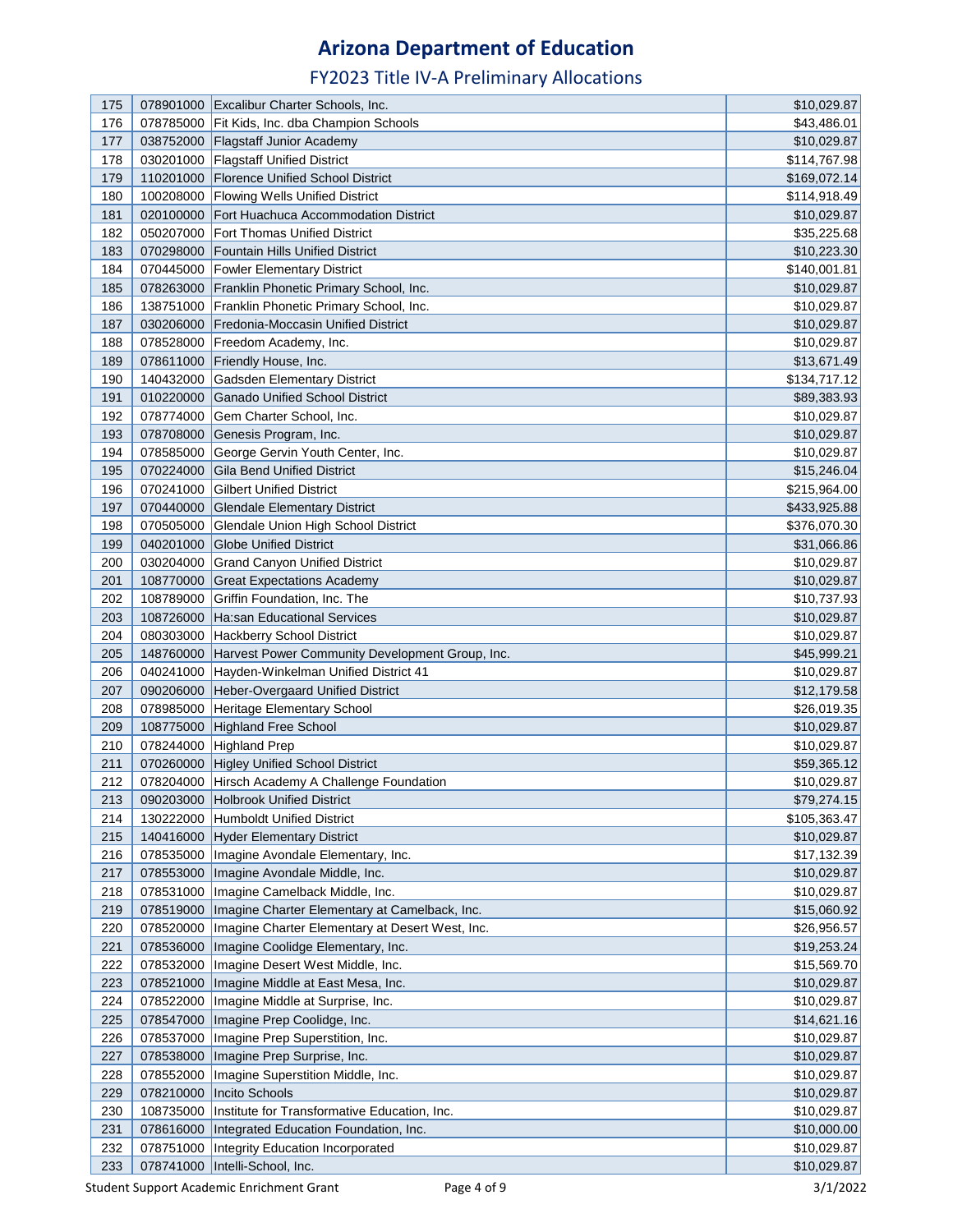| 175        |           | 078901000 Excalibur Charter Schools, Inc.                                                                    | \$10,029.87                |
|------------|-----------|--------------------------------------------------------------------------------------------------------------|----------------------------|
| 176        | 078785000 | Fit Kids, Inc. dba Champion Schools                                                                          | \$43,486.01                |
| 177        |           | 038752000 Flagstaff Junior Academy                                                                           | \$10,029.87                |
| 178        |           | 030201000 Flagstaff Unified District                                                                         | \$114,767.98               |
| 179        | 110201000 | Florence Unified School District                                                                             | \$169,072.14               |
| 180        | 100208000 | <b>Flowing Wells Unified District</b>                                                                        | \$114,918.49               |
| 181        | 020100000 | <b>Fort Huachuca Accommodation District</b>                                                                  | \$10,029.87                |
| 182        |           | 050207000 Fort Thomas Unified District                                                                       | \$35,225.68                |
| 183        |           | 070298000   Fountain Hills Unified District                                                                  | \$10,223.30                |
| 184        |           | 070445000 Fowler Elementary District                                                                         | \$140,001.81               |
| 185        |           | 078263000 Franklin Phonetic Primary School, Inc.                                                             | \$10,029.87                |
| 186        |           | 138751000 Franklin Phonetic Primary School, Inc.                                                             | \$10,029.87                |
| 187        |           | 030206000 Fredonia-Moccasin Unified District                                                                 | \$10,029.87                |
|            |           |                                                                                                              |                            |
| 188        |           | 078528000 Freedom Academy, Inc.                                                                              | \$10,029.87                |
| 189        |           | 078611000 Friendly House, Inc.                                                                               | \$13,671.49                |
| 190        |           | 140432000 Gadsden Elementary District                                                                        | \$134,717.12               |
| 191        |           | 010220000 Ganado Unified School District                                                                     | \$89,383.93                |
| 192        | 078774000 | Gem Charter School, Inc.                                                                                     | \$10,029.87                |
| 193        | 078708000 | Genesis Program, Inc.                                                                                        | \$10,029.87                |
| 194        | 078585000 | George Gervin Youth Center, Inc.                                                                             | \$10,029.87                |
| 195        |           | 070224000 Gila Bend Unified District                                                                         | \$15,246.04                |
| 196        | 070241000 | <b>Gilbert Unified District</b>                                                                              | \$215,964.00               |
| 197        |           | 070440000 Glendale Elementary District                                                                       | \$433,925.88               |
| 198        |           | 070505000 Glendale Union High School District                                                                | \$376,070.30               |
| 199        |           | 040201000 Globe Unified District                                                                             | \$31,066.86                |
| 200        | 030204000 | <b>Grand Canyon Unified District</b>                                                                         | \$10,029.87                |
| 201        | 108770000 | <b>Great Expectations Academy</b>                                                                            | \$10,029.87                |
| 202        | 108789000 | Griffin Foundation, Inc. The                                                                                 | \$10,737.93                |
| 203        | 108726000 | Ha:san Educational Services                                                                                  | \$10,029.87                |
| 204        | 080303000 | <b>Hackberry School District</b>                                                                             | \$10,029.87                |
| 205        | 148760000 | Harvest Power Community Development Group, Inc.                                                              | \$45,999.21                |
| 206        | 040241000 | Hayden-Winkelman Unified District 41                                                                         | \$10,029.87                |
| 207        | 090206000 | Heber-Overgaard Unified District                                                                             | \$12,179.58                |
| 208        |           | 078985000 Heritage Elementary School                                                                         | \$26,019.35                |
| 209        |           | 108775000 Highland Free School                                                                               | \$10,029.87                |
| 210        |           | 078244000 Highland Prep                                                                                      | \$10,029.87                |
| 211        |           | 070260000 Higley Unified School District                                                                     | \$59,365.12                |
| 212        |           | 078204000 Hirsch Academy A Challenge Foundation                                                              | \$10,029.87                |
| 213        |           | 090203000 Holbrook Unified District                                                                          | \$79,274.15                |
| 214        | 130222000 | Humboldt Unified District                                                                                    | \$105,363.47               |
| 215        |           | 140416000 Hyder Elementary District                                                                          | \$10,029.87                |
| 216        |           | 078535000   Imagine Avondale Elementary, Inc.                                                                | \$17,132.39                |
| 217        |           | 078553000   Imagine Avondale Middle, Inc.<br>078531000   Imagine Camelback Middle, Inc.                      | \$10,029.87                |
| 218<br>219 |           |                                                                                                              | \$10,029.87                |
| 220        | 078519000 | Imagine Charter Elementary at Camelback, Inc.<br>078520000   Imagine Charter Elementary at Desert West, Inc. | \$15,060.92<br>\$26,956.57 |
| 221        |           |                                                                                                              | \$19,253.24                |
| 222        |           | 078536000   Imagine Coolidge Elementary, Inc.<br>078532000   Imagine Desert West Middle, Inc.                | \$15,569.70                |
| 223        |           | 078521000   Imagine Middle at East Mesa, Inc.                                                                | \$10,029.87                |
| 224        |           | 078522000   Imagine Middle at Surprise, Inc.                                                                 | \$10,029.87                |
| 225        |           | 078547000   Imagine Prep Coolidge, Inc.                                                                      | \$14,621.16                |
| 226        | 078537000 | Imagine Prep Superstition, Inc.                                                                              | \$10,029.87                |
| 227        | 078538000 | Imagine Prep Surprise, Inc.                                                                                  | \$10,029.87                |
| 228        | 078552000 | Imagine Superstition Middle, Inc.                                                                            | \$10,029.87                |
| 229        | 078210000 | Incito Schools                                                                                               | \$10,029.87                |
| 230        | 108735000 | Institute for Transformative Education, Inc.                                                                 | \$10,029.87                |
| 231        | 078616000 | Integrated Education Foundation, Inc.                                                                        | \$10,000.00                |
| 232        | 078751000 | Integrity Education Incorporated                                                                             | \$10,029.87                |
| 233        | 078741000 | Intelli-School, Inc.                                                                                         | \$10,029.87                |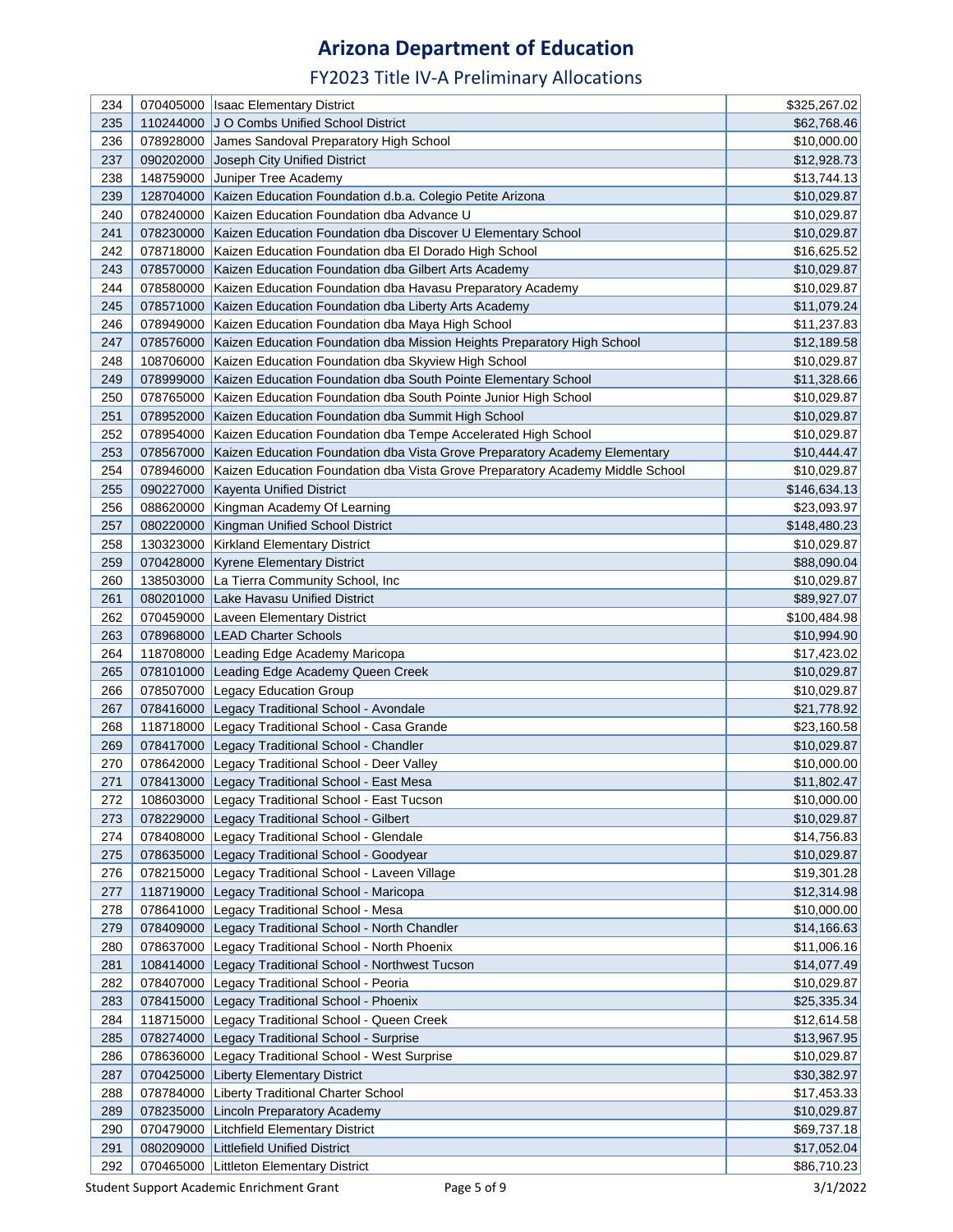| 234 |           | 070405000   Isaac Elementary District                                                     | \$325,267.02 |
|-----|-----------|-------------------------------------------------------------------------------------------|--------------|
| 235 | 110244000 | J O Combs Unified School District                                                         | \$62,768.46  |
|     |           | James Sandoval Preparatory High School                                                    |              |
| 236 | 078928000 |                                                                                           | \$10,000.00  |
| 237 | 090202000 | Joseph City Unified District                                                              | \$12,928.73  |
| 238 | 148759000 | Juniper Tree Academy                                                                      | \$13,744.13  |
| 239 | 128704000 | Kaizen Education Foundation d.b.a. Colegio Petite Arizona                                 | \$10,029.87  |
| 240 | 078240000 | Kaizen Education Foundation dba Advance U                                                 | \$10,029.87  |
| 241 |           | 078230000 Kaizen Education Foundation dba Discover U Elementary School                    | \$10,029.87  |
| 242 |           | 078718000 Kaizen Education Foundation dba El Dorado High School                           | \$16,625.52  |
| 243 | 078570000 | Kaizen Education Foundation dba Gilbert Arts Academy                                      | \$10,029.87  |
| 244 |           | 078580000 Kaizen Education Foundation dba Havasu Preparatory Academy                      | \$10,029.87  |
| 245 |           | 078571000 Kaizen Education Foundation dba Liberty Arts Academy                            | \$11,079.24  |
| 246 | 078949000 | Kaizen Education Foundation dba Maya High School                                          | \$11,237.83  |
| 247 | 078576000 | Kaizen Education Foundation dba Mission Heights Preparatory High School                   | \$12,189.58  |
| 248 | 108706000 | Kaizen Education Foundation dba Skyview High School                                       | \$10,029.87  |
| 249 | 078999000 | Kaizen Education Foundation dba South Pointe Elementary School                            | \$11,328.66  |
| 250 | 078765000 | Kaizen Education Foundation dba South Pointe Junior High School                           | \$10,029.87  |
| 251 | 078952000 | Kaizen Education Foundation dba Summit High School                                        | \$10,029.87  |
| 252 |           | 078954000   Kaizen Education Foundation dba Tempe Accelerated High School                 | \$10,029.87  |
| 253 | 078567000 | Kaizen Education Foundation dba Vista Grove Preparatory Academy Elementary                | \$10,444.47  |
| 254 |           | 078946000   Kaizen Education Foundation dba Vista Grove Preparatory Academy Middle School | \$10,029.87  |
| 255 |           | 090227000 Kayenta Unified District                                                        | \$146,634.13 |
| 256 |           | 088620000 Kingman Academy Of Learning                                                     | \$23,093.97  |
| 257 |           | 080220000   Kingman Unified School District                                               | \$148,480.23 |
| 258 |           | 130323000 Kirkland Elementary District                                                    | \$10,029.87  |
| 259 |           | 070428000 Kyrene Elementary District                                                      | \$88,090.04  |
| 260 | 138503000 | La Tierra Community School, Inc                                                           | \$10,029.87  |
| 261 | 080201000 | Lake Havasu Unified District                                                              | \$89,927.07  |
| 262 | 070459000 | Laveen Elementary District                                                                | \$100,484.98 |
| 263 | 078968000 | <b>LEAD Charter Schools</b>                                                               | \$10,994.90  |
| 264 | 118708000 | Leading Edge Academy Maricopa                                                             | \$17,423.02  |
| 265 | 078101000 | Leading Edge Academy Queen Creek                                                          | \$10,029.87  |
| 266 | 078507000 | <b>Legacy Education Group</b>                                                             | \$10,029.87  |
| 267 | 078416000 | Legacy Traditional School - Avondale                                                      | \$21,778.92  |
| 268 | 118718000 | Legacy Traditional School - Casa Grande                                                   | \$23,160.58  |
| 269 | 078417000 | Legacy Traditional School - Chandler                                                      | \$10,029.87  |
| 270 |           | 078642000 Legacy Traditional School - Deer Valley                                         | \$10,000.00  |
| 271 |           | 078413000 Legacy Traditional School - East Mesa                                           | \$11,802.47  |
| 272 | 108603000 | Legacy Traditional School - East Tucson                                                   | \$10,000.00  |
| 273 | 078229000 | Legacy Traditional School - Gilbert                                                       | \$10,029.87  |
| 274 | 078408000 | Legacy Traditional School - Glendale                                                      | \$14,756.83  |
| 275 | 078635000 | Legacy Traditional School - Goodyear                                                      | \$10,029.87  |
| 276 | 078215000 | Legacy Traditional School - Laveen Village                                                | \$19,301.28  |
| 277 | 118719000 | Legacy Traditional School - Maricopa                                                      | \$12,314.98  |
| 278 | 078641000 | Legacy Traditional School - Mesa                                                          | \$10,000.00  |
| 279 | 078409000 | Legacy Traditional School - North Chandler                                                | \$14,166.63  |
| 280 | 078637000 | Legacy Traditional School - North Phoenix                                                 | \$11,006.16  |
| 281 | 108414000 | Legacy Traditional School - Northwest Tucson                                              | \$14,077.49  |
| 282 |           | 078407000 Legacy Traditional School - Peoria                                              | \$10,029.87  |
| 283 |           | 078415000 Legacy Traditional School - Phoenix                                             | \$25,335.34  |
| 284 | 118715000 | Legacy Traditional School - Queen Creek                                                   | \$12,614.58  |
| 285 | 078274000 | Legacy Traditional School - Surprise                                                      | \$13,967.95  |
| 286 | 078636000 | Legacy Traditional School - West Surprise                                                 | \$10,029.87  |
| 287 | 070425000 | <b>Liberty Elementary District</b>                                                        | \$30,382.97  |
| 288 | 078784000 | <b>Liberty Traditional Charter School</b>                                                 | \$17,453.33  |
| 289 | 078235000 | <b>Lincoln Preparatory Academy</b>                                                        | \$10,029.87  |
| 290 | 070479000 | <b>Litchfield Elementary District</b>                                                     | \$69,737.18  |
| 291 | 080209000 | <b>Littlefield Unified District</b>                                                       | \$17,052.04  |
| 292 |           | 070465000 Littleton Elementary District                                                   | \$86,710.23  |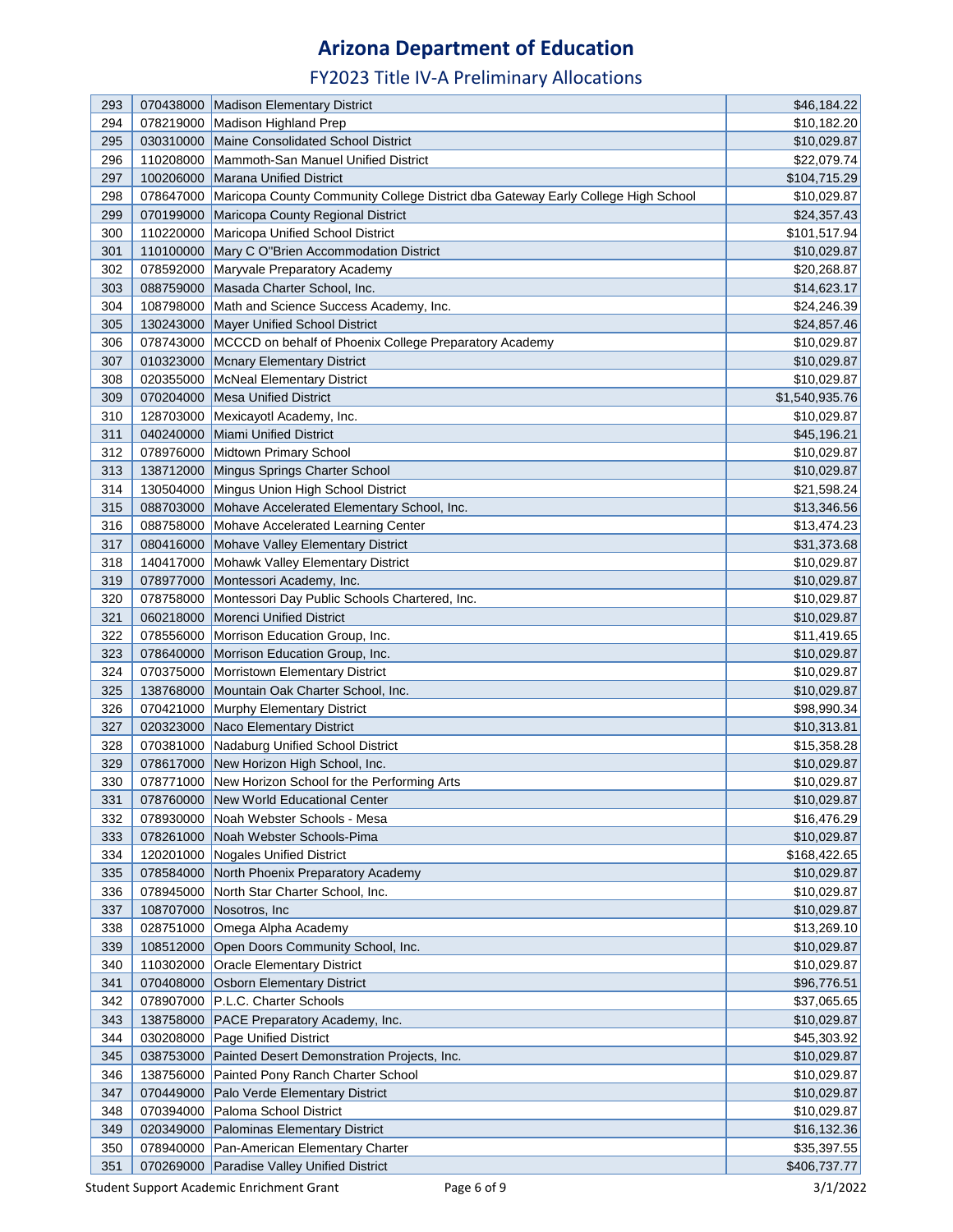| 293 |           | 070438000 Madison Elementary District                                                        | \$46,184.22    |
|-----|-----------|----------------------------------------------------------------------------------------------|----------------|
| 294 | 078219000 | Madison Highland Prep                                                                        | \$10,182.20    |
| 295 |           | 030310000 Maine Consolidated School District                                                 | \$10,029.87    |
| 296 |           | 110208000   Mammoth-San Manuel Unified District                                              | \$22,079.74    |
| 297 |           | 100206000 Marana Unified District                                                            | \$104,715.29   |
| 298 |           | 078647000   Maricopa County Community College District dba Gateway Early College High School | \$10,029.87    |
| 299 |           | 070199000 Maricopa County Regional District                                                  | \$24,357.43    |
| 300 |           | 110220000   Maricopa Unified School District                                                 | \$101,517.94   |
| 301 |           | 110100000 Mary C O"Brien Accommodation District                                              | \$10,029.87    |
| 302 | 078592000 | Maryvale Preparatory Academy                                                                 | \$20,268.87    |
| 303 | 088759000 | Masada Charter School, Inc.                                                                  | \$14,623.17    |
| 304 |           | 108798000 Math and Science Success Academy, Inc.                                             | \$24,246.39    |
| 305 |           | 130243000 Mayer Unified School District                                                      | \$24,857.46    |
| 306 |           | 078743000 MCCCD on behalf of Phoenix College Preparatory Academy                             | \$10,029.87    |
| 307 | 010323000 | Mcnary Elementary District                                                                   | \$10,029.87    |
| 308 |           | 020355000   McNeal Elementary District                                                       | \$10,029.87    |
| 309 |           | 070204000 Mesa Unified District                                                              | \$1,540,935.76 |
| 310 |           | 128703000 Mexicayotl Academy, Inc.                                                           | \$10,029.87    |
| 311 |           | 040240000 Miami Unified District                                                             | \$45,196.21    |
| 312 |           | 078976000 Midtown Primary School                                                             | \$10,029.87    |
| 313 |           | 138712000 Mingus Springs Charter School                                                      | \$10,029.87    |
| 314 |           | 130504000 Mingus Union High School District                                                  | \$21,598.24    |
| 315 | 088703000 | Mohave Accelerated Elementary School, Inc.                                                   | \$13,346.56    |
| 316 |           | 088758000 Mohave Accelerated Learning Center                                                 | \$13,474.23    |
| 317 |           | 080416000 Mohave Valley Elementary District                                                  | \$31,373.68    |
| 318 | 140417000 | Mohawk Valley Elementary District                                                            | \$10,029.87    |
| 319 | 078977000 | Montessori Academy, Inc.                                                                     | \$10,029.87    |
| 320 |           | 078758000   Montessori Day Public Schools Chartered, Inc.                                    | \$10,029.87    |
| 321 |           | 060218000 Morenci Unified District                                                           | \$10,029.87    |
| 322 |           | 078556000   Morrison Education Group, Inc.                                                   | \$11,419.65    |
| 323 | 078640000 | Morrison Education Group, Inc.                                                               | \$10,029.87    |
| 324 |           | 070375000 Morristown Elementary District                                                     | \$10,029.87    |
| 325 |           | 138768000 Mountain Oak Charter School, Inc.                                                  | \$10,029.87    |
| 326 |           | 070421000 Murphy Elementary District                                                         | \$98,990.34    |
| 327 | 020323000 | Naco Elementary District                                                                     | \$10,313.81    |
| 328 | 070381000 | Nadaburg Unified School District                                                             | \$15,358.28    |
| 329 |           | 078617000 New Horizon High School, Inc.                                                      | \$10,029.87    |
| 330 |           | 078771000 New Horizon School for the Performing Arts                                         | \$10,029.87    |
| 331 |           | 078760000 New World Educational Center                                                       | \$10,029.87    |
| 332 | 078930000 | Noah Webster Schools - Mesa                                                                  | \$16,476.29    |
| 333 |           | 078261000 Noah Webster Schools-Pima                                                          | \$10,029.87    |
| 334 |           | 120201000 Nogales Unified District                                                           | \$168,422.65   |
| 335 |           | 078584000 North Phoenix Preparatory Academy                                                  | \$10,029.87    |
| 336 |           | 078945000 North Star Charter School, Inc.                                                    | \$10,029.87    |
| 337 |           | 108707000 Nosotros, Inc.                                                                     | \$10,029.87    |
| 338 |           | 028751000 Omega Alpha Academy                                                                | \$13,269.10    |
| 339 |           | 108512000 Open Doors Community School, Inc.                                                  | \$10,029.87    |
| 340 |           | 110302000 Oracle Elementary District                                                         | \$10,029.87    |
| 341 |           | 070408000 Osborn Elementary District                                                         | \$96,776.51    |
| 342 |           | 078907000 P.L.C. Charter Schools                                                             | \$37,065.65    |
| 343 |           | 138758000 PACE Preparatory Academy, Inc.                                                     |                |
| 344 |           |                                                                                              | \$10,029.87    |
|     |           | 030208000 Page Unified District                                                              | \$45,303.92    |
| 345 | 038753000 | Painted Desert Demonstration Projects, Inc.                                                  | \$10,029.87    |
| 346 |           | 138756000 Painted Pony Ranch Charter School                                                  | \$10,029.87    |
| 347 |           | 070449000 Palo Verde Elementary District                                                     | \$10,029.87    |
| 348 |           | 070394000 Paloma School District                                                             | \$10,029.87    |
| 349 |           | 020349000 Palominas Elementary District                                                      | \$16,132.36    |
| 350 |           | 078940000   Pan-American Elementary Charter                                                  | \$35,397.55    |
| 351 |           | 070269000 Paradise Valley Unified District                                                   | \$406,737.77   |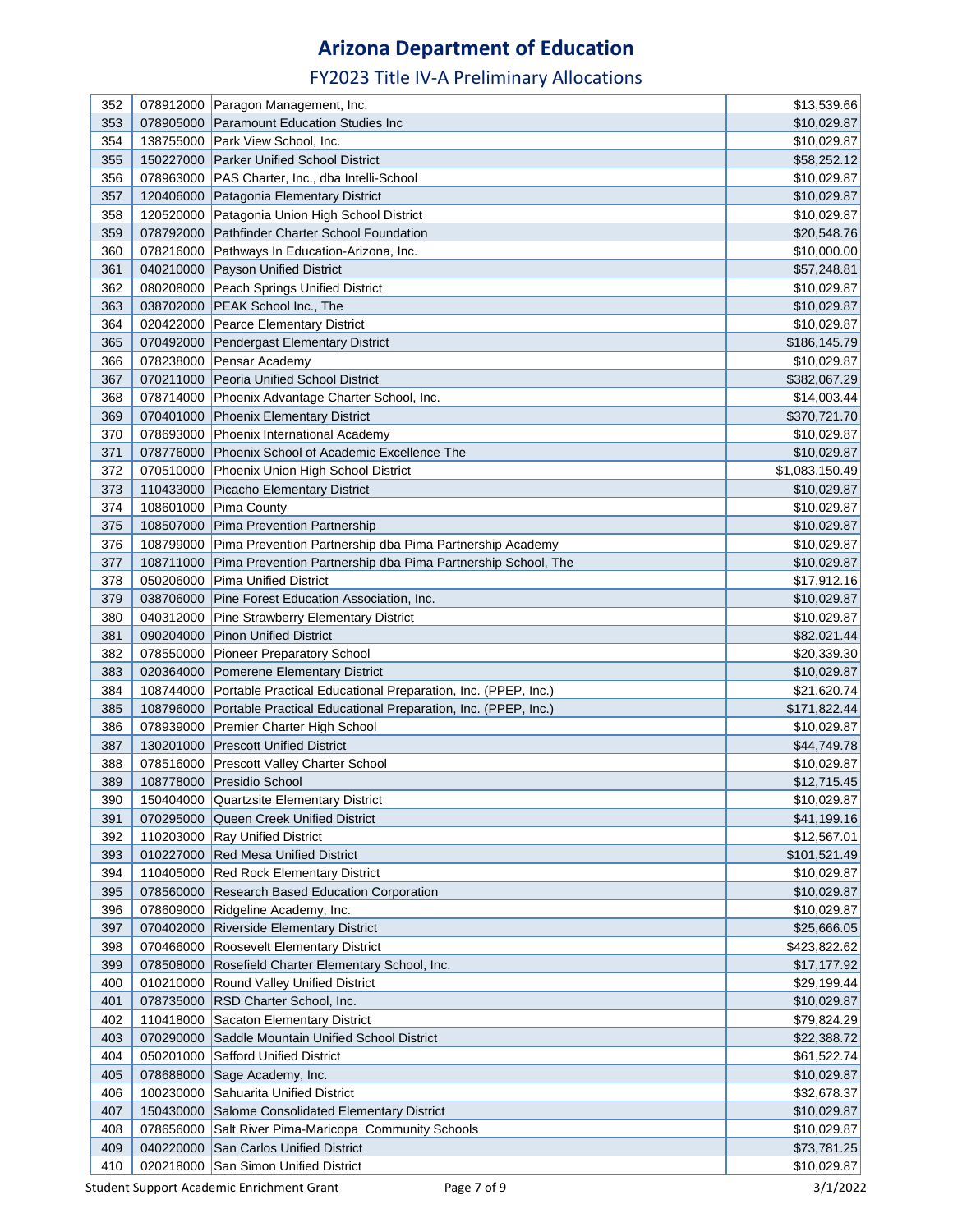| 352        |           | 078912000 Paragon Management, Inc.                                      | \$13,539.66    |
|------------|-----------|-------------------------------------------------------------------------|----------------|
| 353        | 078905000 | <b>Paramount Education Studies Inc.</b>                                 | \$10,029.87    |
| 354        | 138755000 | Park View School, Inc.                                                  | \$10,029.87    |
| 355        | 150227000 | <b>Parker Unified School District</b>                                   | \$58,252.12    |
| 356        |           | 078963000 PAS Charter, Inc., dba Intelli-School                         | \$10,029.87    |
|            |           | 120406000 Patagonia Elementary District                                 |                |
| 357<br>358 |           |                                                                         | \$10,029.87    |
|            |           | 120520000 Patagonia Union High School District                          | \$10,029.87    |
| 359        |           | 078792000 Pathfinder Charter School Foundation                          | \$20,548.76    |
| 360        |           | 078216000 Pathways In Education-Arizona, Inc.                           | \$10,000.00    |
| 361        |           | 040210000 Payson Unified District                                       | \$57,248.81    |
| 362        |           | 080208000 Peach Springs Unified District                                | \$10,029.87    |
| 363        |           | 038702000 PEAK School Inc., The                                         | \$10,029.87    |
| 364        |           | 020422000 Pearce Elementary District                                    | \$10,029.87    |
| 365        |           | 070492000 Pendergast Elementary District                                | \$186,145.79   |
| 366        |           | 078238000 Pensar Academy                                                | \$10,029.87    |
| 367        |           | 070211000 Peoria Unified School District                                | \$382,067.29   |
| 368        |           | 078714000 Phoenix Advantage Charter School, Inc.                        | \$14,003.44    |
| 369        |           | 070401000 Phoenix Elementary District                                   | \$370,721.70   |
| 370        |           | 078693000 Phoenix International Academy                                 | \$10,029.87    |
| 371        |           | 078776000 Phoenix School of Academic Excellence The                     | \$10,029.87    |
| 372        |           | 070510000 Phoenix Union High School District                            | \$1,083,150.49 |
| 373        |           | 110433000 Picacho Elementary District                                   | \$10,029.87    |
| 374        |           | 108601000 Pima County                                                   | \$10,029.87    |
| 375        |           | 108507000 Pima Prevention Partnership                                   | \$10,029.87    |
| 376        | 108799000 | Pima Prevention Partnership dba Pima Partnership Academy                | \$10,029.87    |
| 377        | 108711000 | Pima Prevention Partnership dba Pima Partnership School, The            | \$10,029.87    |
| 378        | 050206000 | <b>Pima Unified District</b>                                            | \$17,912.16    |
| 379        | 038706000 | Pine Forest Education Association, Inc.                                 | \$10,029.87    |
| 380        | 040312000 | <b>Pine Strawberry Elementary District</b>                              | \$10,029.87    |
| 381        | 090204000 | <b>Pinon Unified District</b>                                           | \$82,021.44    |
| 382        | 078550000 | <b>Pioneer Preparatory School</b>                                       | \$20,339.30    |
| 383        |           | 020364000 Pomerene Elementary District                                  | \$10,029.87    |
| 384        |           | 108744000 Portable Practical Educational Preparation, Inc. (PPEP, Inc.) | \$21,620.74    |
| 385        | 108796000 | Portable Practical Educational Preparation, Inc. (PPEP, Inc.)           | \$171,822.44   |
| 386        |           | 078939000 Premier Charter High School                                   | \$10,029.87    |
| 387        |           | 130201000 Prescott Unified District                                     | \$44,749.78    |
| 388        |           | 078516000 Prescott Valley Charter School                                | \$10,029.87    |
| 389        |           | 108778000 Presidio School                                               | \$12,715.45    |
| 390        |           | 150404000 Quartzsite Elementary District                                | \$10,029.87    |
| 391        |           | 070295000 Queen Creek Unified District                                  | \$41,199.16    |
| 392        |           | 110203000 Ray Unified District                                          | \$12,567.01    |
| 393        |           | 010227000 Red Mesa Unified District                                     | \$101,521.49   |
| 394        |           | 110405000 Red Rock Elementary District                                  | \$10,029.87    |
| 395        |           | 078560000 Research Based Education Corporation                          | \$10,029.87    |
| 396        |           | 078609000 Ridgeline Academy, Inc.                                       | \$10,029.87    |
| 397        |           | 070402000 Riverside Elementary District                                 | \$25,666.05    |
| 398        |           | 070466000 Roosevelt Elementary District                                 | \$423,822.62   |
| 399        |           | 078508000 Rosefield Charter Elementary School, Inc.                     | \$17,177.92    |
| 400        |           | 010210000 Round Valley Unified District                                 | \$29,199.44    |
| 401        |           | 078735000 RSD Charter School, Inc.                                      | \$10,029.87    |
| 402        |           | 110418000 Sacaton Elementary District                                   | \$79,824.29    |
| 403        | 070290000 | Saddle Mountain Unified School District                                 | \$22,388.72    |
| 404        | 050201000 | <b>Safford Unified District</b>                                         | \$61,522.74    |
| 405        |           | 078688000 Sage Academy, Inc.                                            | \$10,029.87    |
| 406        | 100230000 | Sahuarita Unified District                                              | \$32,678.37    |
| 407        |           | 150430000 Salome Consolidated Elementary District                       | \$10,029.87    |
| 408        |           | 078656000 Salt River Pima-Maricopa Community Schools                    | \$10,029.87    |
| 409        |           | 040220000 San Carlos Unified District                                   | \$73,781.25    |
| 410        |           | 020218000 San Simon Unified District                                    | \$10,029.87    |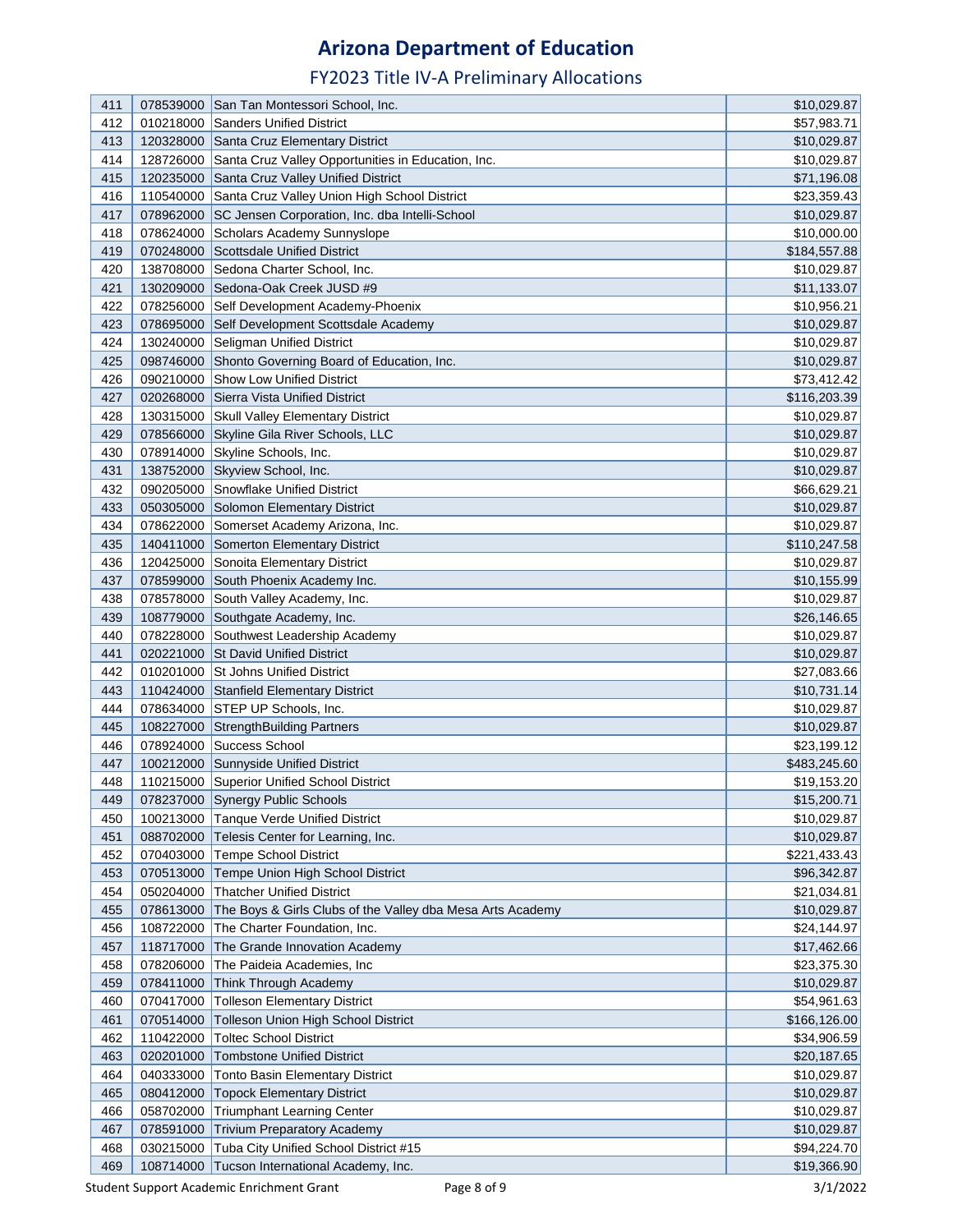| 411        |           | 078539000 San Tan Montessori School, Inc.                                         | \$10,029.87                |
|------------|-----------|-----------------------------------------------------------------------------------|----------------------------|
| 412        | 010218000 | Sanders Unified District                                                          | \$57,983.71                |
| 413        |           | 120328000 Santa Cruz Elementary District                                          | \$10,029.87                |
| 414        |           | 128726000 Santa Cruz Valley Opportunities in Education, Inc.                      | \$10,029.87                |
| 415        |           | 120235000 Santa Cruz Valley Unified District                                      | \$71,196.08                |
| 416        |           | 110540000 Santa Cruz Valley Union High School District                            | \$23,359.43                |
| 417        |           | 078962000 SC Jensen Corporation, Inc. dba Intelli-School                          | \$10,029.87                |
| 418        |           | 078624000 Scholars Academy Sunnyslope                                             | \$10,000.00                |
| 419        |           | 070248000 Scottsdale Unified District                                             | \$184,557.88               |
| 420        |           | 138708000 Sedona Charter School, Inc.                                             | \$10,029.87                |
| 421        |           | 130209000 Sedona-Oak Creek JUSD #9                                                | \$11,133.07                |
| 422        |           | 078256000 Self Development Academy-Phoenix                                        | \$10,956.21                |
| 423        |           | 078695000 Self Development Scottsdale Academy                                     | \$10,029.87                |
| 424        |           | 130240000 Seligman Unified District                                               | \$10,029.87                |
| 425        |           | 098746000 Shonto Governing Board of Education, Inc.                               | \$10,029.87                |
| 426        |           | 090210000 Show Low Unified District                                               | \$73,412.42                |
| 427        |           | 020268000 Sierra Vista Unified District                                           | \$116,203.39               |
| 428        |           | 130315000 Skull Valley Elementary District                                        | \$10,029.87                |
| 429        |           | 078566000 Skyline Gila River Schools, LLC                                         | \$10,029.87                |
| 430        |           | 078914000 Skyline Schools, Inc.                                                   | \$10,029.87                |
| 431        |           | 138752000 Skyview School, Inc.                                                    | \$10,029.87                |
| 432        |           | 090205000 Snowflake Unified District                                              | \$66,629.21                |
| 433        |           | 050305000 Solomon Elementary District                                             | \$10,029.87                |
| 434        |           | 078622000 Somerset Academy Arizona, Inc.                                          | \$10,029.87                |
| 435        |           | 140411000 Somerton Elementary District                                            | \$110,247.58               |
| 436        |           | 120425000 Sonoita Elementary District                                             | \$10,029.87                |
| 437        |           | 078599000 South Phoenix Academy Inc.                                              | \$10,155.99                |
| 438        |           | 078578000 South Valley Academy, Inc.                                              | \$10,029.87                |
| 439        |           | 108779000 Southgate Academy, Inc.                                                 | \$26,146.65                |
| 440        |           | 078228000 Southwest Leadership Academy                                            | \$10,029.87                |
| 441        |           | 020221000 St David Unified District                                               | \$10,029.87                |
| 442        |           | 010201000 St Johns Unified District                                               | \$27,083.66                |
| 443        |           | 110424000 Stanfield Elementary District                                           | \$10,731.14                |
| 444        |           | 078634000 STEP UP Schools, Inc.                                                   | \$10,029.87                |
| 445        |           | 108227000 StrengthBuilding Partners                                               | \$10,029.87                |
| 446        |           | 078924000 Success School                                                          | \$23,199.12                |
| 447        |           | 100212000 Sunnyside Unified District                                              | \$483,245.60               |
| 448        |           | 110215000 Superior Unified School District                                        | \$19,153.20                |
| 449        |           | 078237000 Synergy Public Schools                                                  | \$15,200.71                |
| 450        |           | 100213000 Tanque Verde Unified District                                           | \$10,029.87                |
| 451        |           | 088702000 Telesis Center for Learning, Inc.                                       | \$10,029.87                |
| 452        |           | 070403000 Tempe School District<br>070513000 Tempe Union High School District     | \$221,433.43               |
| 453<br>454 |           |                                                                                   | \$96,342.87                |
|            |           | 050204000 Thatcher Unified District                                               | \$21,034.81<br>\$10,029.87 |
| 455<br>456 |           | 078613000 The Boys & Girls Clubs of the Valley dba Mesa Arts Academy              |                            |
| 457        |           | 108722000 The Charter Foundation, Inc.<br>118717000 The Grande Innovation Academy | \$24,144.97                |
| 458        |           |                                                                                   | \$17,462.66                |
| 459        | 078411000 | 078206000 The Paideia Academies, Inc<br>Think Through Academy                     | \$23,375.30<br>\$10,029.87 |
| 460        | 070417000 | <b>Tolleson Elementary District</b>                                               | \$54,961.63                |
| 461        | 070514000 | Tolleson Union High School District                                               | \$166,126.00               |
| 462        | 110422000 | <b>Toltec School District</b>                                                     | \$34,906.59                |
| 463        | 020201000 | <b>Tombstone Unified District</b>                                                 | \$20,187.65                |
| 464        | 040333000 | Tonto Basin Elementary District                                                   | \$10,029.87                |
| 465        | 080412000 | <b>Topock Elementary District</b>                                                 | \$10,029.87                |
| 466        |           | 058702000 Triumphant Learning Center                                              | \$10,029.87                |
| 467        |           | 078591000 Trivium Preparatory Academy                                             | \$10,029.87                |
| 468        |           | 030215000 Tuba City Unified School District #15                                   | \$94,224.70                |
| 469        | 108714000 | Tucson International Academy, Inc.                                                | \$19,366.90                |